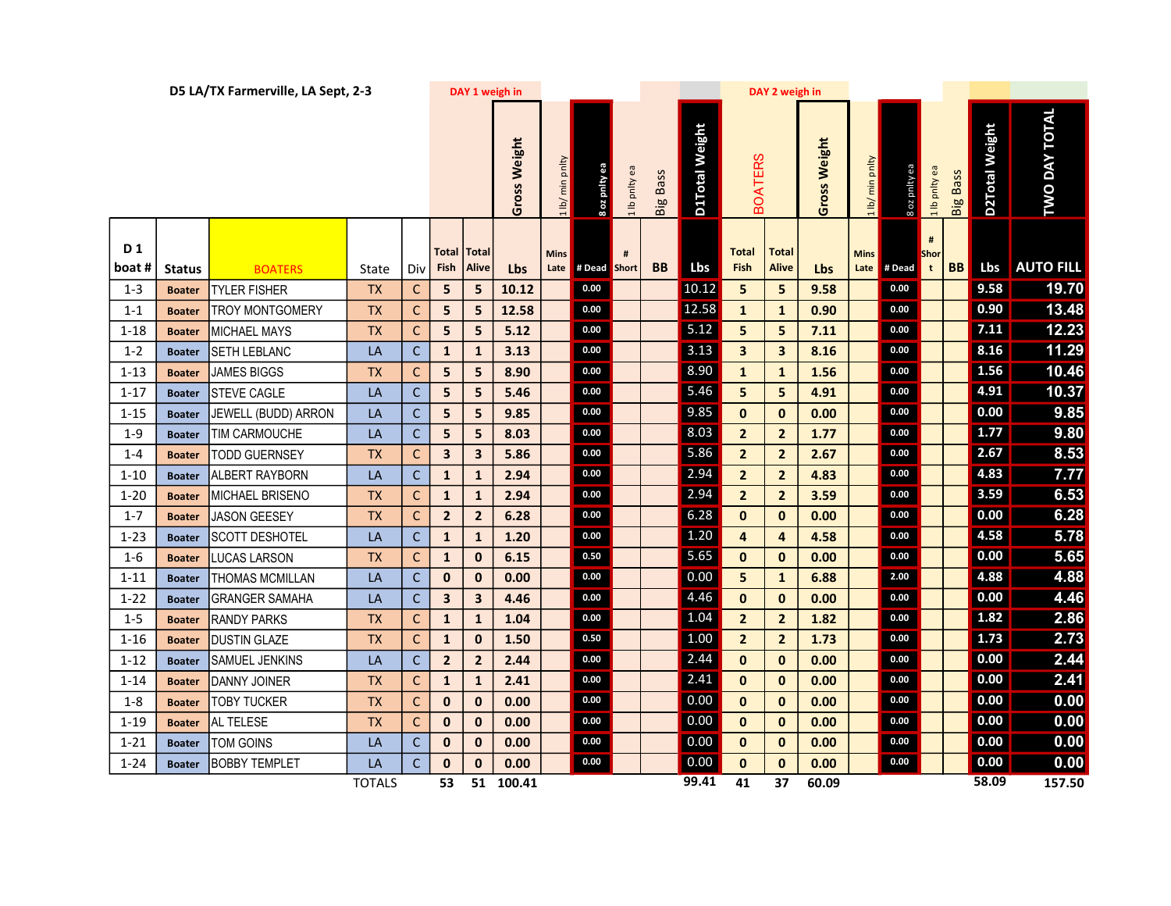|               |               | D5 LA/TX Farmerville, LA Sept, 2-3 |               |              | DAY 1 weigh in          |                                    |              |                     |              |               |                 |                | DAY 2 weigh in              |                              |              |                 |               |                                       |                 |                |                      |
|---------------|---------------|------------------------------------|---------------|--------------|-------------------------|------------------------------------|--------------|---------------------|--------------|---------------|-----------------|----------------|-----------------------------|------------------------------|--------------|-----------------|---------------|---------------------------------------|-----------------|----------------|----------------------|
|               |               |                                    |               |              |                         |                                    | Gross Weight | 1 lb/ min pnlty     | ee Aqud zo 8 | 1 lb pnlty ea | <b>Big Bass</b> | D1Total Weight | <b>BOATERS</b>              |                              | Gross Weight | 1 lb/ min pnlty | eə Aqlud zo 8 | 1 lb pnlty ea                         | <b>Big Bass</b> | D2Total Weight | <b>TWO DAY TOTAL</b> |
| D 1<br>boat # | <b>Status</b> | <b>BOATERS</b>                     | State         | Div l        | Fish                    | <b>Total Total</b><br><b>Alive</b> | <b>Lbs</b>   | <b>Mins</b><br>Late | # Dead Short | #             | <b>BB</b>       | Lbs            | <b>Total</b><br><b>Fish</b> | <b>Total</b><br><b>Alive</b> | Lbs          | <b>Mins</b>     | Late # Dead   | $\pmb{\sharp}$<br>Shor<br>$\mathbf t$ | <b>BB</b>       | Lbs            | <b>AUTO FILL</b>     |
| $1 - 3$       | <b>Boater</b> | <b>TYLER FISHER</b>                | <b>TX</b>     | C            | 5 <sup>1</sup>          | 5                                  | 10.12        |                     | 0.00         |               |                 | 10.12          | 5                           | 5                            | 9.58         |                 | 0.00          |                                       |                 | 9.58           | 19.70                |
| $1 - 1$       | <b>Boater</b> | TROY MONTGOMERY                    | <b>TX</b>     | C            | 5                       | 5                                  | 12.58        |                     | 0.00         |               |                 | 12.58          | $\mathbf{1}$                | $\mathbf{1}$                 | 0.90         |                 | $0.00\,$      |                                       |                 | 0.90           | 13.48                |
| $1 - 18$      | <b>Boater</b> | MICHAEL MAYS                       | <b>TX</b>     | С            | 5 <sup>1</sup>          | 5                                  | 5.12         |                     | 0.00         |               |                 | 5.12           | 5                           | 5                            | 7.11         |                 | 0.00          |                                       |                 | 7.11           | 12.23                |
| $1 - 2$       | <b>Boater</b> | SETH LEBLANC                       | LA            | $\mathsf C$  | $\mathbf{1}$            | $\mathbf{1}$                       | 3.13         |                     | 0.00         |               |                 | 3.13           | $\overline{\mathbf{3}}$     | $\overline{\mathbf{3}}$      | 8.16         |                 | $0.00\,$      |                                       |                 | 8.16           | 11.29                |
| $1 - 13$      | <b>Boater</b> | <b>JAMES BIGGS</b>                 | <b>TX</b>     | $\mathsf{C}$ | 5 <sub>1</sub>          | $5\phantom{a}$                     | 8.90         |                     | 0.00         |               |                 | 8.90           | $\mathbf{1}$                | $\mathbf{1}$                 | 1.56         |                 | 0.00          |                                       |                 | 1.56           | 10.46                |
| $1 - 17$      | <b>Boater</b> | <b>STEVE CAGLE</b>                 | LA            | $\mathsf C$  | 5 <sup>1</sup>          | 5                                  | 5.46         |                     | 0.00         |               |                 | 5.46           | 5                           | 5                            | 4.91         |                 | 0.00          |                                       |                 | 4.91           | 10.37                |
| $1 - 15$      | <b>Boater</b> | JEWELL (BUDD) ARRON                | LA            | $\mathsf{C}$ | 5 <sub>5</sub>          | $5\phantom{.0}$                    | 9.85         |                     | 0.00         |               |                 | 9.85           | $\mathbf{0}$                | $\mathbf{0}$                 | 0.00         |                 | 0.00          |                                       |                 | 0.00           | 9.85                 |
| $1 - 9$       | <b>Boater</b> | TIM CARMOUCHE                      | LA            | $\mathsf{C}$ | 5                       | 5                                  | 8.03         |                     | 0.00         |               |                 | 8.03           | $\overline{2}$              | $\overline{2}$               | 1.77         |                 | 0.00          |                                       |                 | 1.77           | 9.80                 |
| $1 - 4$       | <b>Boater</b> | <b>TODD GUERNSEY</b>               | <b>TX</b>     | $\mathsf{C}$ | $\overline{\mathbf{3}}$ | $\overline{\mathbf{3}}$            | 5.86         |                     | 0.00         |               |                 | 5.86           | $\overline{2}$              | $\overline{2}$               | 2.67         |                 | 0.00          |                                       |                 | 2.67           | 8.53                 |
| $1 - 10$      | <b>Boater</b> | ALBERT RAYBORN                     | LA            | $\mathsf C$  | $\mathbf{1}$            | $\mathbf{1}$                       | 2.94         |                     | 0.00         |               |                 | 2.94           | $\overline{2}$              | $\overline{2}$               | 4.83         |                 | 0.00          |                                       |                 | 4.83           | 7.77                 |
| $1 - 20$      | <b>Boater</b> | MICHAEL BRISENO                    | <b>TX</b>     | $\mathsf{C}$ | $\mathbf{1}$            | $\mathbf{1}$                       | 2.94         |                     | 0.00         |               |                 | 2.94           | $\overline{2}$              | $\overline{2}$               | 3.59         |                 | 0.00          |                                       |                 | 3.59           | 6.53                 |
| $1 - 7$       | <b>Boater</b> | <b>JASON GEESEY</b>                | <b>TX</b>     | $\mathsf C$  | $\overline{2}$          | $\overline{2}$                     | 6.28         |                     | 0.00         |               |                 | 6.28           | $\mathbf{0}$                | $\mathbf{0}$                 | 0.00         |                 | 0.00          |                                       |                 | 0.00           | 6.28                 |
| $1 - 23$      | <b>Boater</b> | SCOTT DESHOTEL                     | LA            | $\mathsf{C}$ | $\mathbf{1}$            | $\mathbf{1}$                       | 1.20         |                     | 0.00         |               |                 | 1.20           | $\overline{4}$              | 4                            | 4.58         |                 | $0.00\,$      |                                       |                 | 4.58           | 5.78                 |
| $1 - 6$       | <b>Boater</b> | <b>LUCAS LARSON</b>                | <b>TX</b>     | С            | $\mathbf{1}$            | $\mathbf 0$                        | 6.15         |                     | 0.50         |               |                 | 5.65           | $\mathbf{0}$                | $\mathbf{0}$                 | 0.00         |                 | 0.00          |                                       |                 | 0.00           | 5.65                 |
| $1 - 11$      | <b>Boater</b> | <b>THOMAS MCMILLAN</b>             | LA            | $\mathsf{C}$ | $\mathbf{0}$            | $\mathbf{0}$                       | 0.00         |                     | 0.00         |               |                 | 0.00           | 5                           | $\mathbf{1}$                 | 6.88         |                 | 2.00          |                                       |                 | 4.88           | 4.88                 |
| $1 - 22$      | <b>Boater</b> | <b>GRANGER SAMAHA</b>              | LA            | $\mathsf{C}$ | $\mathbf{3}$            | $\mathbf{3}$                       | 4.46         |                     | 0.00         |               |                 | 4.46           | $\mathbf{0}$                | $\mathbf{0}$                 | 0.00         |                 | 0.00          |                                       |                 | 0.00           | 4.46                 |
| $1 - 5$       | <b>Boater</b> | <b>RANDY PARKS</b>                 | <b>TX</b>     | $\mathsf{C}$ | $\mathbf{1}$            | $\mathbf{1}$                       | 1.04         |                     | 0.00         |               |                 | 1.04           | $\overline{2}$              | $\overline{2}$               | 1.82         |                 | 0.00          |                                       |                 | 1.82           | 2.86                 |
| $1 - 16$      | <b>Boater</b> | <b>DUSTIN GLAZE</b>                | <b>TX</b>     | $\mathsf{C}$ | $\mathbf{1}$            | $\mathbf{0}$                       | 1.50         |                     | 0.50         |               |                 | 1.00           | $\overline{2}$              | $\overline{2}$               | 1.73         |                 | 0.00          |                                       |                 | $1.73$         | 2.73                 |
| $1 - 12$      | <b>Boater</b> | SAMUEL JENKINS                     | LA            | $\mathsf C$  | $\overline{2}$          | $\overline{2}$                     | 2.44         |                     | 0.00         |               |                 | 2.44           | $\mathbf{0}$                | $\mathbf 0$                  | 0.00         |                 | $0.00\,$      |                                       |                 | 0.00           | 2.44                 |
| $1 - 14$      | <b>Boater</b> | DANNY JOINER                       | <b>TX</b>     | С            | $\mathbf{1}$            | $\mathbf{1}$                       | 2.41         |                     | 0.00         |               |                 | 2.41           | $\mathbf{0}$                | $\mathbf{0}$                 | 0.00         |                 | 0.00          |                                       |                 | 0.00           | 2.41                 |
| $1 - 8$       | <b>Boater</b> | <b>TOBY TUCKER</b>                 | <b>TX</b>     | $\mathsf{C}$ | $\mathbf{0}$            | $\mathbf{0}$                       | 0.00         |                     | 0.00         |               |                 | 0.00           | $\mathbf{0}$                | $\bf{0}$                     | 0.00         |                 | 0.00          |                                       |                 | 0.00           | 0.00                 |
| $1 - 19$      | <b>Boater</b> | AL TELESE                          | <b>TX</b>     | $\mathsf{C}$ | $\mathbf{0}$            | $\mathbf{0}$                       | 0.00         |                     | 0.00         |               |                 | 0.00           | $\mathbf{0}$                | $\mathbf{0}$                 | 0.00         |                 | 0.00          |                                       |                 | 0.00           | 0.00                 |
| $1 - 21$      | <b>Boater</b> | TOM GOINS                          | LA            | $\mathsf{C}$ | $\mathbf{0}$            | $\mathbf 0$                        | 0.00         |                     | 0.00         |               |                 | 0.00           | $\mathbf{0}$                | $\mathbf{0}$                 | 0.00         |                 | 0.00          |                                       |                 | 0.00           | 0.00                 |
| $1 - 24$      | <b>Boater</b> | <b>BOBBY TEMPLET</b>               | LA            | $\mathsf{C}$ | $\mathbf 0$             | $\mathbf{0}$                       | 0.00         |                     | 0.00         |               |                 | 0.00           | $\mathbf{0}$                | 0                            | 0.00         |                 | 0.00          |                                       |                 | 0.00           | 0.00                 |
|               |               |                                    | <b>TOTALS</b> |              | 53                      | 51                                 | 100.41       |                     |              |               |                 | 99.41          | 41                          | 37                           | 60.09        |                 |               |                                       |                 | 58.09          | 157.50               |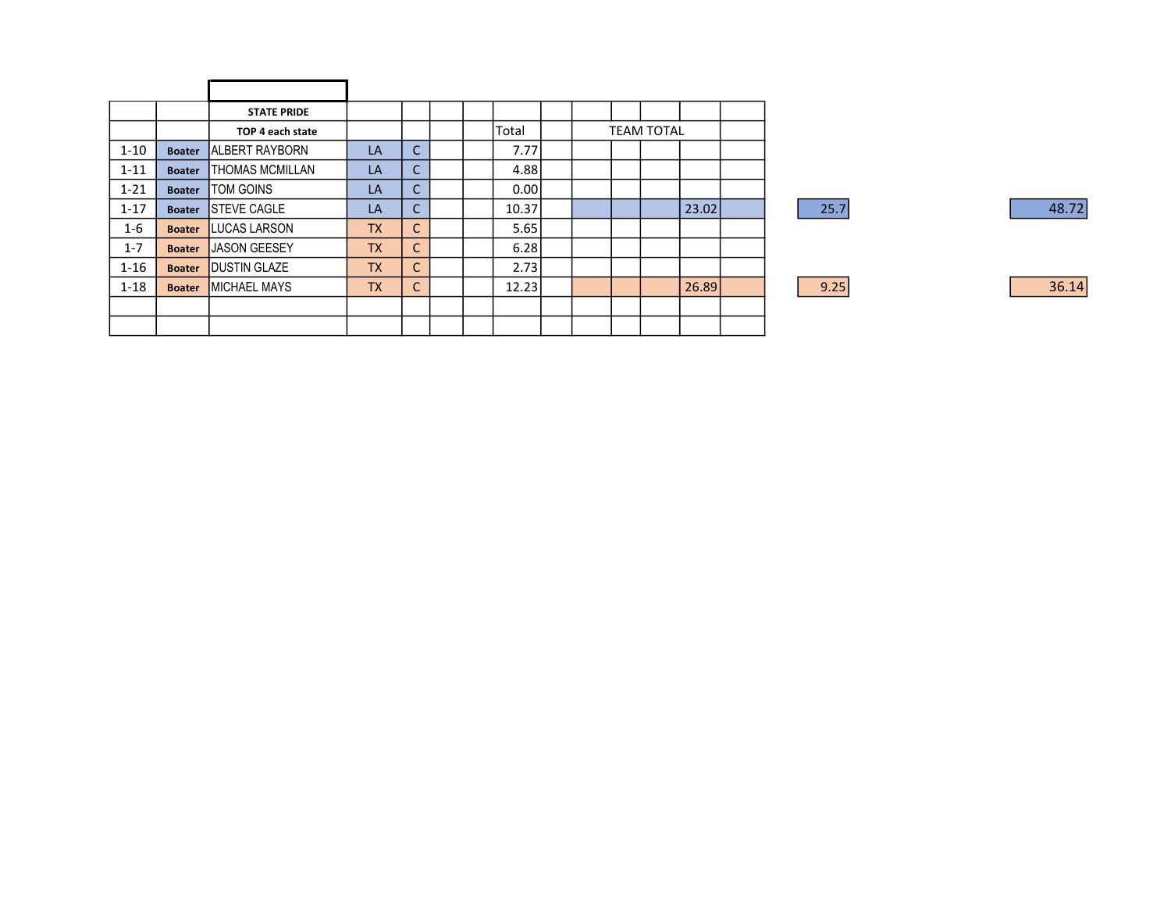|          |               | <b>STATE PRIDE</b>     |           |              |  |       |  |                   |       |      |  |
|----------|---------------|------------------------|-----------|--------------|--|-------|--|-------------------|-------|------|--|
|          |               | TOP 4 each state       |           |              |  | Total |  | <b>TEAM TOTAL</b> |       |      |  |
| $1 - 10$ | <b>Boater</b> | <b>ALBERT RAYBORN</b>  | <b>LA</b> | $\mathsf{C}$ |  | 7.77  |  |                   |       |      |  |
| $1 - 11$ | <b>Boater</b> | <b>THOMAS MCMILLAN</b> | <b>LA</b> | C.           |  | 4.88  |  |                   |       |      |  |
| $1 - 21$ | <b>Boater</b> | <b>TOM GOINS</b>       | LA        | C.           |  | 0.00  |  |                   |       |      |  |
| $1 - 17$ | <b>Boater</b> | <b>STEVE CAGLE</b>     | <b>LA</b> | C.           |  | 10.37 |  |                   | 23.02 | 25.7 |  |
| $1 - 6$  | <b>Boater</b> | <b>LUCAS LARSON</b>    | <b>TX</b> | ~<br>U       |  | 5.65  |  |                   |       |      |  |
| $1 - 7$  | <b>Boater</b> | JASON GEESEY           | <b>TX</b> | $\sim$<br>U  |  | 6.28  |  |                   |       |      |  |
| $1 - 16$ | <b>Boater</b> | <b>IDUSTIN GLAZE</b>   | <b>TX</b> | $\sim$<br>U  |  | 2.73  |  |                   |       |      |  |
| $1 - 18$ | <b>Boater</b> | <b>MICHAEL MAYS</b>    | <b>TX</b> | $\sim$<br>U  |  | 12.23 |  |                   | 26.89 | 9.25 |  |
|          |               |                        |           |              |  |       |  |                   |       |      |  |
|          |               |                        |           |              |  |       |  |                   |       |      |  |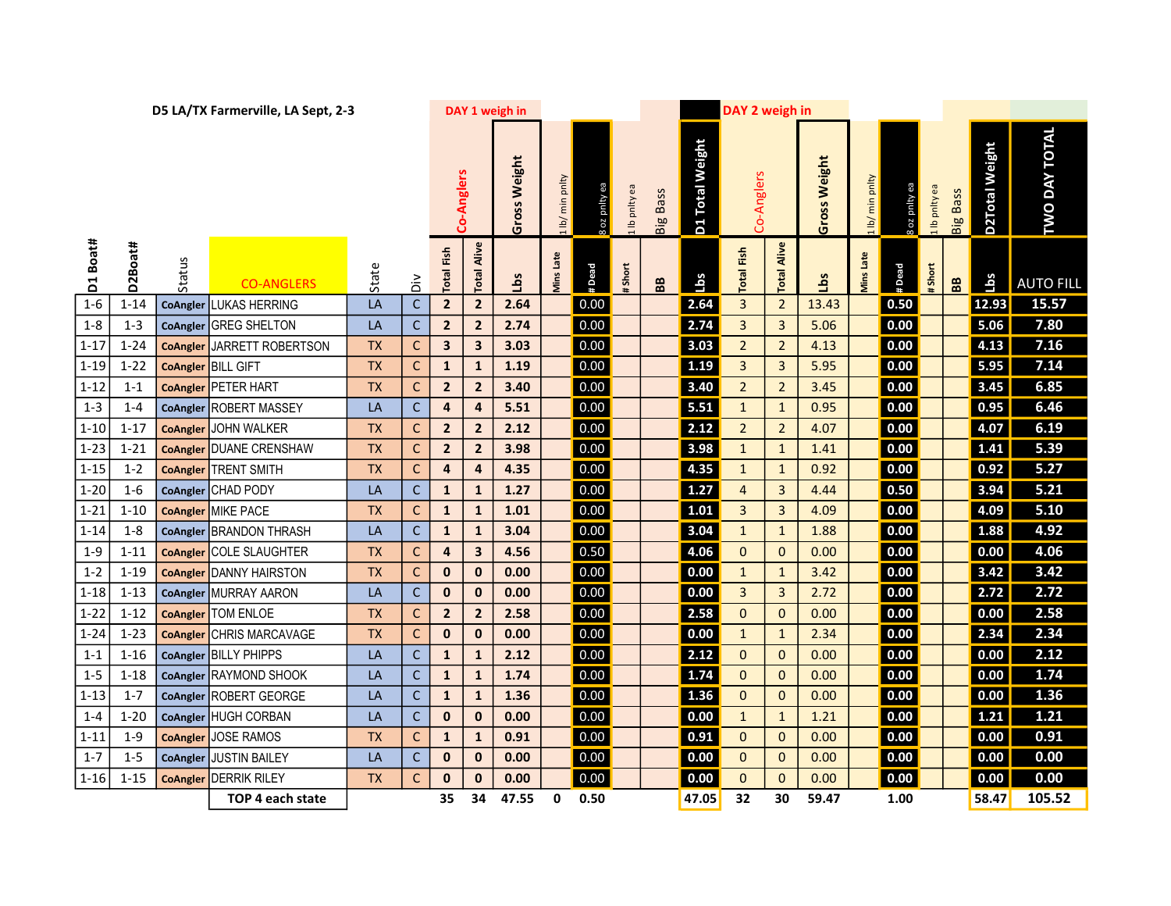| D5 LA/TX Farmerville, LA Sept, 2-3 |          |                 |                                |           |              |                |                         | DAY 1 weigh in |                 |               |             |                   |                            | DAY 2 weigh in    |                |                 |                  |               |             |                 |                |                      |  |  |
|------------------------------------|----------|-----------------|--------------------------------|-----------|--------------|----------------|-------------------------|----------------|-----------------|---------------|-------------|-------------------|----------------------------|-------------------|----------------|-----------------|------------------|---------------|-------------|-----------------|----------------|----------------------|--|--|
|                                    |          |                 |                                |           |              |                | -Anglers<br>පි          |                | 1 lb/ min pnlty | s oz pnlty ea | Ib pnity ea | <b>Big Bass</b>   | D1 Total Weight            | Co-Anglers        |                | Weight<br>Gross | lb/ min pnlty    | 8 oz pnity ea | Ib pnity ea | <b>Big Bass</b> | D2Total Weight | <b>TWO DAY TOTAL</b> |  |  |
| D1 Boat#                           | D2Boat#  | Status          | <b>CO-ANGLERS</b>              | State     | $\tilde{a}$  | Fish<br>Total  | Alive<br>Total          | Gross<br>Зq    | Viins Late      | #Dead         | #Short      | ${\bf B} {\bf B}$ | $\overline{\mathsf{labs}}$ | <b>Total Fish</b> | Alive<br>Total | <u>a</u>        | <b>Ains Late</b> | #Dead         | #Short      | BB              | Lbs            | <b>AUTO FILL</b>     |  |  |
| $1 - 6$                            | $1 - 14$ | <b>CoAngler</b> | LUKAS HERRING                  | LA        | $\mathsf C$  | $\overline{2}$ | $\overline{2}$          | 2.64           |                 | 0.00          |             |                   | 2.64                       | $\overline{3}$    | $\overline{2}$ | 13.43           |                  | 0.50          |             |                 | 12.93          | 15.57                |  |  |
| $1 - 8$                            | $1 - 3$  |                 | CoAngler GREG SHELTON          | LA        | $\mathsf C$  | $\overline{2}$ | $\mathbf{2}$            | 2.74           |                 | 0.00          |             |                   | 2.74                       | $\overline{3}$    | 3              | 5.06            |                  | 0.00          |             |                 | 5.06           | 7.80                 |  |  |
| $1 - 17$                           | $1 - 24$ | <b>CoAngler</b> | JARRETT ROBERTSON              | <b>TX</b> | $\mathsf{C}$ | 3              | $\mathbf{3}$            | 3.03           |                 | 0.00          |             |                   | 3.03                       | $\overline{2}$    | $\overline{2}$ | 4.13            |                  | 0.00          |             |                 | 4.13           | 7.16                 |  |  |
| $1 - 19$                           | $1 - 22$ | <b>CoAngler</b> | <b>BILL GIFT</b>               | <b>TX</b> | $\mathsf{C}$ | $\mathbf{1}$   | $\mathbf{1}$            | 1.19           |                 | 0.00          |             |                   | 1.19                       | $\mathbf{3}$      | 3              | 5.95            |                  | 0.00          |             |                 | 5.95           | 7.14                 |  |  |
| $1 - 12$                           | $1 - 1$  | <b>CoAngler</b> | <b>PETER HART</b>              | <b>TX</b> | $\mathsf{C}$ | $\overline{2}$ | $\overline{2}$          | 3.40           |                 | 0.00          |             |                   | 3.40                       | $\overline{2}$    | $\overline{2}$ | 3.45            |                  | 0.00          |             |                 | 3.45           | 6.85                 |  |  |
| $1 - 3$                            | $1 - 4$  |                 | CoAngler ROBERT MASSEY         | LA        | $\mathsf C$  | $\pmb{4}$      | $\pmb{4}$               | 5.51           |                 | 0.00          |             |                   | 5.51                       | $\mathbf{1}$      | $\mathbf{1}$   | 0.95            |                  | 0.00          |             |                 | 0.95           | 6.46                 |  |  |
| $1-10$                             | $1 - 17$ |                 | <b>CoAngler JOHN WALKER</b>    | <b>TX</b> | $\mathsf{C}$ | $\overline{2}$ | $\overline{2}$          | 2.12           |                 | 0.00          |             |                   | 2.12                       | $\overline{2}$    | $\overline{2}$ | 4.07            |                  | 0.00          |             |                 | 4.07           | 6.19                 |  |  |
| $1 - 23$                           | $1 - 21$ |                 | <b>CoAngler</b> DUANE CRENSHAW | <b>TX</b> | $\mathsf C$  | $\overline{2}$ | $\overline{2}$          | 3.98           |                 | 0.00          |             |                   | 3.98                       | $\mathbf{1}$      | $\mathbf{1}$   | 1.41            |                  | 0.00          |             |                 | 1.41           | 5.39                 |  |  |
| $1 - 15$                           | $1 - 2$  | <b>CoAngler</b> | <b>TRENT SMITH</b>             | <b>TX</b> | $\mathsf{C}$ | 4              | 4                       | 4.35           |                 | 0.00          |             |                   | 4.35                       | $\mathbf{1}$      | $\mathbf{1}$   | 0.92            |                  | 0.00          |             |                 | 0.92           | 5.27                 |  |  |
| $1 - 20$                           | $1 - 6$  | <b>CoAngler</b> | <b>CHAD PODY</b>               | LA        | $\mathsf C$  | $\mathbf 1$    | $\mathbf 1$             | 1.27           |                 | 0.00          |             |                   | 1.27                       | $\overline{4}$    | $\overline{3}$ | 4.44            |                  | 0.50          |             |                 | 3.94           | 5.21                 |  |  |
| $1 - 21$                           | $1 - 10$ | <b>CoAngler</b> | <b>MIKE PACE</b>               | <b>TX</b> | $\mathsf{C}$ | $\mathbf{1}$   | $\mathbf{1}$            | 1.01           |                 | 0.00          |             |                   | 1.01                       | $\mathbf{3}$      | 3              | 4.09            |                  | 0.00          |             |                 | 4.09           | 5.10                 |  |  |
| $1 - 14$                           | $1 - 8$  | <b>CoAngler</b> | <b>BRANDON THRASH</b>          | LA        | $\mathsf{C}$ | $\mathbf{1}$   | $\mathbf{1}$            | 3.04           |                 | 0.00          |             |                   | 3.04                       | $\mathbf{1}$      | $\mathbf{1}$   | 1.88            |                  | 0.00          |             |                 | 1.88           | 4.92                 |  |  |
| $1 - 9$                            | $1 - 11$ | <b>CoAngler</b> | COLE SLAUGHTER                 | <b>TX</b> | $\mathsf C$  | 4              | $\overline{\mathbf{3}}$ | 4.56           |                 | 0.50          |             |                   | 4.06                       | $\mathbf{0}$      | $\mathbf 0$    | 0.00            |                  | 0.00          |             |                 | 0.00           | 4.06                 |  |  |
| $1 - 2$                            | $1 - 19$ | <b>CoAngler</b> | <b>DANNY HAIRSTON</b>          | <b>TX</b> | $\mathsf{C}$ | 0              | $\mathbf 0$             | 0.00           |                 | 0.00          |             |                   | 0.00                       | $\mathbf{1}$      | $\mathbf{1}$   | 3.42            |                  | 0.00          |             |                 | 3.42           | 3.42                 |  |  |
| $1 - 18$                           | $1 - 13$ | <b>CoAngler</b> | MURRAY AARON                   | LA        | $\mathsf{C}$ | $\mathbf 0$    | $\mathbf 0$             | 0.00           |                 | 0.00          |             |                   | 0.00                       | $\mathbf{3}$      | 3              | 2.72            |                  | 0.00          |             |                 | 2.72           | 2.72                 |  |  |
| $1 - 22$                           | $1 - 12$ | <b>CoAngler</b> | <b>TOM ENLOE</b>               | <b>TX</b> | $\mathsf{C}$ | $\overline{2}$ | $\overline{2}$          | 2.58           |                 | 0.00          |             |                   | 2.58                       | $\overline{0}$    | $\mathbf 0$    | 0.00            |                  | 0.00          |             |                 | 0.00           | 2.58                 |  |  |
| $1 - 24$                           | $1 - 23$ | <b>CoAngler</b> | CHRIS MARCAVAGE                | <b>TX</b> | $\mathsf{C}$ | $\pmb{0}$      | $\pmb{0}$               | 0.00           |                 | 0.00          |             |                   | 0.00                       | $\mathbf{1}$      | $\mathbf{1}$   | 2.34            |                  | 0.00          |             |                 | 2.34           | 2.34                 |  |  |
| $1 - 1$                            | $1 - 16$ |                 | CoAngler BILLY PHIPPS          | LA        | $\mathsf C$  | ${\bf 1}$      | $\mathbf 1$             | 2.12           |                 | 0.00          |             |                   | 2.12                       | $\mathbf{0}$      | $\mathbf 0$    | 0.00            |                  | 0.00          |             |                 | 0.00           | 2.12                 |  |  |
| $1 - 5$                            | $1 - 18$ |                 | CoAngler RAYMOND SHOOK         | LA        | $\mathsf C$  | $\mathbf{1}$   | $\mathbf 1$             | 1.74           |                 | 0.00          |             |                   | 1.74                       | $\mathbf{O}$      | $\mathbf 0$    | 0.00            |                  | 0.00          |             |                 | 0.00           | 1.74                 |  |  |
| $1 - 13$                           | $1 - 7$  |                 | CoAngler ROBERT GEORGE         | LA        | $\mathsf{C}$ | $\mathbf{1}$   | $\mathbf{1}$            | 1.36           |                 | 0.00          |             |                   | 1.36                       | $\mathbf{0}$      | $\mathbf 0$    | 0.00            |                  | 0.00          |             |                 | 0.00           | 1.36                 |  |  |
| $1 - 4$                            | $1 - 20$ | <b>CoAngler</b> | <b>HUGH CORBAN</b>             | LA        | $\mathsf{C}$ | $\mathbf 0$    | $\mathbf 0$             | 0.00           |                 | 0.00          |             |                   | 0.00                       | $\mathbf{1}$      | $\mathbf{1}$   | 1.21            |                  | 0.00          |             |                 | 1.21           | 1.21                 |  |  |
| $1 - 11$                           | $1 - 9$  |                 | CoAngler JOSE RAMOS            | <b>TX</b> | $\mathsf{C}$ | $\mathbf{1}$   | $\mathbf{1}$            | 0.91           |                 | 0.00          |             |                   | 0.91                       | $\overline{0}$    | $\mathbf{0}$   | 0.00            |                  | 0.00          |             |                 | 0.00           | 0.91                 |  |  |
| $1 - 7$                            | $1 - 5$  | CoAngler        | JUSTIN BAILEY                  | LA        | $\mathsf{C}$ | 0              | $\mathbf 0$             | 0.00           |                 | 0.00          |             |                   | 0.00                       | $\mathbf{0}$      | $\mathbf 0$    | 0.00            |                  | 0.00          |             |                 | 0.00           | 0.00                 |  |  |
| $1 - 16$                           | $1 - 15$ | <b>CoAngler</b> | <b>DERRIK RILEY</b>            | <b>TX</b> | $\mathsf{C}$ | $\bf{0}$       | $\mathbf 0$             | 0.00           |                 | 0.00          |             |                   | 0.00                       | $\mathbf{0}$      | $\mathbf{0}$   | 0.00            |                  | 0.00          |             |                 | 0.00           | 0.00                 |  |  |
|                                    |          |                 | TOP 4 each state               |           |              | 35             | 34                      | 47.55          | 0               | 0.50          |             |                   | 47.05                      | 32                | 30             | 59.47           |                  | 1.00          |             |                 | 58.47          | 105.52               |  |  |